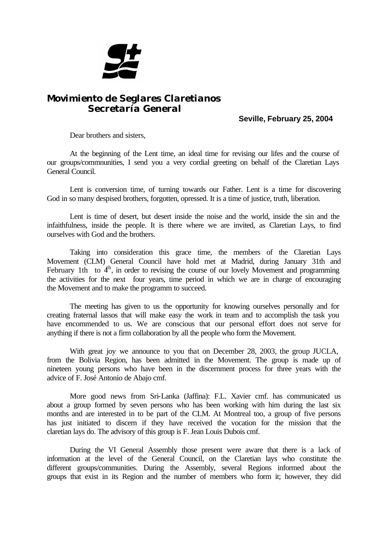

## *Movimiento de Seglares Claretianos Secretaría General*

**Seville, February 25, 2004**

Dear brothers and sisters,

At the beginning of the Lent time, an ideal time for revising our lifes and the course of our groups/commnunities, I send you a very cordial greeting on behalf of the Claretian Lays General Council.

Lent is conversion time, of turning towards our Father. Lent is a time for discovering God in so many despised brothers, forgotten, opressed. It is a time of justice, truth, liberation.

Lent is time of desert, but desert inside the noise and the world, inside the sin and the infaithfulness, inside the people. It is there where we are invited, as Claretian Lays, to find ourselves with God and the brothers.

Taking into consideration this grace time, the members of the Claretian Lays Movement (CLM) General Council have hold met at Madrid, during January 31th and February 1th to  $4<sup>h</sup>$ , in order to revising the course of our lovely Movement and programming the activities for the next four years, time period in which we are in charge of encouraging the Movement and to make the programm to succeed.

The meeting has given to us the opportunity for knowing ourselves personally and for creating fraternal lassos that will make easy the work in team and to accomplish the task you have encommended to us. We are conscious that our personal effort does not serve for anything if there is not a firm collaboration by all the people who form the Movement.

With great joy we announce to you that on December 28, 2003, the group JUCLA, from the Bolivia Region, has been admitted in the Movement. The group is made up of nineteen young persons who have been in the discernment process for three years with the advice of F. José Antonio de Abajo cmf.

More good news from Sri-Lanka (Jaffina): F.L. Xavier cmf. has communicated us about a group formed by seven persons who has been working with him during the last six months and are interested in to be part of the CLM. At Montreal too, a group of five persons has just initiated to discern if they have received the vocation for the mission that the claretian lays do. The advisory of this group is F. Jean Louis Dubois cmf.

During the VI General Assembly those present were aware that there is a lack of information at the level of the General Council, on the Claretian lays who constitute the different groups/communities. During the Assembly, several Regions informed about the groups that exist in its Region and the number of members who form it; however, they did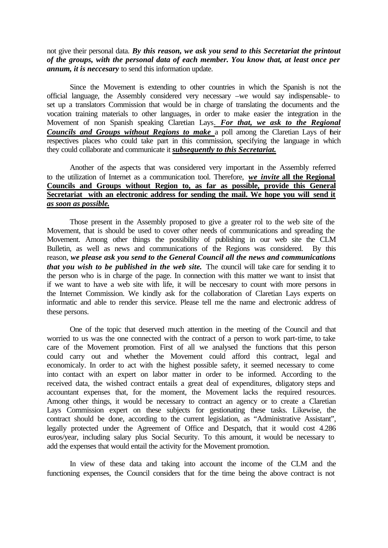not give their personal data. *By this reason, we ask you send to this Secretariat the printout of the groups, with the personal data of each member. You know that, at least once per annum, it is neccesary* to send this information update.

Since the Movement is extending to other countries in which the Spanish is not the official language, the Assembly considered very necessary –we would say indispensable- to set up a translators Commission that would be in charge of translating the documents and the vocation training materials to other languages, in order to make easier the integration in the Movement of non Spanish speaking Claretian Lays. *For that, we ask to the Regional Councils and Groups without Regions to make* a poll among the Claretian Lays of their respectives places who could take part in this commission, specifying the language in which they could collaborate and communicate it *subsequently to this Secretariat.* 

Another of the aspects that was considered very important in the Assembly referred to the utilization of Internet as a communication tool. Therefore, *we invite* **all the Regional Councils and Groups without Region to, as far as possible, provide this General Secretariat with an electronic address for sending the mail. We hope you will send it**  *as soon as possible***.** 

Those present in the Assembly proposed to give a greater rol to the web site of the Movement, that is should be used to cover other needs of communications and spreading the Movement. Among other things the possibility of publishing in our web site the CLM Bulletin, as well as news and communications of the Regions was considered. By this reason, *we please ask you send to the General Council all the news and communications that you wish to be published in the web site.* The council will take care for sending it to the person who is in charge of the page. In connection with this matter we want to insist that if we want to have a web site with life, it will be neccesary to count with more persons in the Internet Commission. We kindly ask for the collaboration of Claretian Lays experts on informatic and able to render this service. Please tell me the name and electronic address of these persons.

One of the topic that deserved much attention in the meeting of the Council and that worried to us was the one connected with the contract of a person to work part-time, to take care of the Movement promotion. First of all we analysed the functions that this person could carry out and whether the Movement could afford this contract, legal and economicaly. In order to act with the highest possible safety, it seemed necessary to come into contact with an expert on labor matter in order to be informed. According to the received data, the wished contract entails a great deal of expenditures, obligatory steps and accountant expenses that, for the moment, the Movement lacks the required resources. Among other things, it would be necessary to contract an agency or to create a Claretian Lays Commission expert on these subjects for gestionating these tasks. Likewise, the contract should be done, according to the current legislation, as "Administrative Assistant", legally protected under the Agreement of Office and Despatch, that it would cost 4.286 euros/year, including salary plus Social Security. To this amount, it would be necessary to add the expenses that would entail the activity for the Movement promotion.

In view of these data and taking into account the income of the CLM and the functioning expenses, the Council considers that for the time being the above contract is not